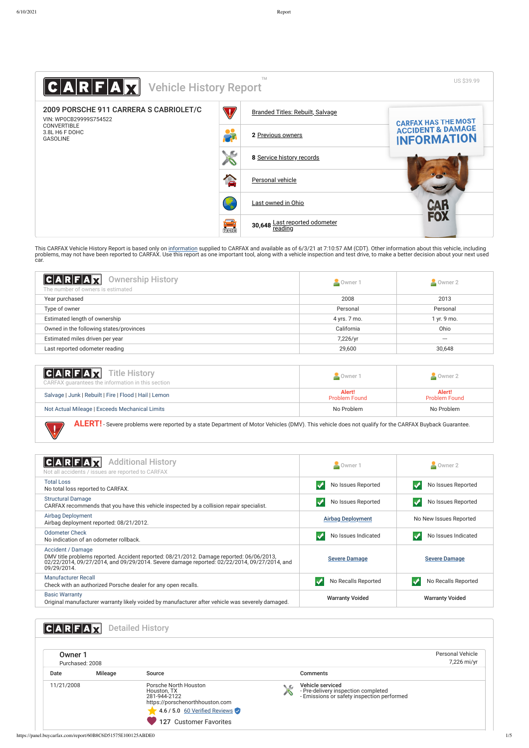This CARFAX Vehicle History Report is based only on <u>information</u> supplied to CARFAX and available as of 6/3/21 at 7:10:57 AM (CDT). Other [information](http://www.carfax.com/company/vhr-data-sources) about this vehicle, including problems, may not have been reported to CARFAX. Use this report as one important tool, along with a vehicle inspection and test drive, to make a better decision about your next used car.

| <b>CARFAX</b> Title History<br>CARFAX guarantees the information in this section                                                                      | Owner 1                        | $\sim$ Owner 2                 |  |  |
|-------------------------------------------------------------------------------------------------------------------------------------------------------|--------------------------------|--------------------------------|--|--|
| Salvage   Junk   Rebuilt   Fire   Flood   Hail   Lemon                                                                                                | Alert!<br><b>Problem Found</b> | Alert!<br><b>Problem Found</b> |  |  |
| Not Actual Mileage   Exceeds Mechanical Limits                                                                                                        | No Problem                     | No Problem                     |  |  |
| ALERT! - Severe problems were reported by a state Department of Motor Vehicles (DMV). This vehicle does not qualify for the CARFAX Buyback Guarantee. |                                |                                |  |  |

CARFAX Additional History **C** Owner 1 **C** Owner 2 Not all accidents / issues are reported to CARFAX [Total Loss](https://panel.buycarfax.com/report/defTotalLoss) No total Loss<br>No total loss reported to CARFAX. No Issues Reported No Issues Reported No Issues Reported No Issues Reported [Structural Damage](https://panel.buycarfax.com/report/defFrameDamage) Suuctural Damage<br>CARFAX recommends that you have this vehicle inspected by a collision repair specialist. [Airbag Deployment](https://panel.buycarfax.com/report/defAirbagDeployment) [Airbag Deployment](#page-0-0) Reported: 08/21/2012.<br>Airbag deployment reported: 08/21/2012. [Odometer Check](https://panel.buycarfax.com/report/defOdometerRollback) No indication of an odometer rollback.<br>No indication of an odometer rollback. [Accident / Damage](https://panel.buycarfax.com/report/defAccidentIndicator) DMV title problems reported. Accident reported: 08/21/2012. Damage reported: 06/06/2013, [Severe Damage](#page-1-0) Severe Damage 02/22/2014, 09/27/2014, and 09/29/2014. Severe damage reported: 02/22/2014, 09/27/2014, and

| <b>Vehicle History Report</b><br>HEIAIVI                         |                                                                                     | <b>TM</b>                        | US \$39.99                                         |
|------------------------------------------------------------------|-------------------------------------------------------------------------------------|----------------------------------|----------------------------------------------------|
| 2009 PORSCHE 911 CARRERA S CABRIOLET/C<br>VIN: WP0CB29999S754522 | $\mathbb {V}$                                                                       | Branded Titles: Rebuilt, Salvage | <b>CARFAX HAS THE MOST</b>                         |
| <b>CONVERTIBLE</b><br>3.8L H6 F DOHC<br><b>GASOLINE</b>          | 쑯                                                                                   | 2 Previous owners                | <b>ACCIDENT &amp; DAMAGE</b><br><b>INFORMATION</b> |
|                                                                  | $\mathbf{x}$                                                                        | 8 Service history records        |                                                    |
|                                                                  | 合                                                                                   | Personal vehicle                 |                                                    |
|                                                                  |                                                                                     | Last owned in Ohio               | CAR<br>Fox                                         |
|                                                                  | $\begin{array}{c} \begin{array}{c} \text{max} \ \text{max} \end{array} \end{array}$ | 30,648 Last reported odometer    |                                                    |

| 09/29/2014.                                                                                                               |                        |                        |
|---------------------------------------------------------------------------------------------------------------------------|------------------------|------------------------|
| Manufacturer Recall<br>Check with an authorized Porsche dealer for any open recalls.                                      | No Recalls Reported    | No Recalls Reported    |
| <b>Basic Warranty</b><br>Original manufacturer warranty likely voided by manufacturer after vehicle was severely damaged. | <b>Warranty Voided</b> | <b>Warranty Voided</b> |

<span id="page-0-1"></span><span id="page-0-0"></span>

| CARFI.         |                 | <b>Detailed History</b>                                                                                                                                   |               |                                                                                                       |                                 |
|----------------|-----------------|-----------------------------------------------------------------------------------------------------------------------------------------------------------|---------------|-------------------------------------------------------------------------------------------------------|---------------------------------|
| <b>Owner 1</b> | Purchased: 2008 |                                                                                                                                                           |               |                                                                                                       | Personal Vehicle<br>7,226 mi/yr |
| Date           | <b>Mileage</b>  | Source                                                                                                                                                    |               | <b>Comments</b>                                                                                       |                                 |
| 11/21/2008     |                 | Porsche North Houston<br>Houston, TX<br>281-944-2122<br>https://porschenorthhouston.com<br>$\sim$ 4.6 / 5.0 60 Verified Reviews<br>127 Customer Favorites | $\mathcal{L}$ | Vehicle serviced<br>- Pre-delivery inspection completed<br>- Emissions or safety inspection performed |                                 |

 $\bigvee$ 

<span id="page-0-2"></span>

| $ C A R F A \vec{X}$<br><b>Ownership History</b><br>The number of owners is estimated | Owner 1      | Owner 2     |
|---------------------------------------------------------------------------------------|--------------|-------------|
| Year purchased                                                                        | 2008         | 2013        |
| Type of owner                                                                         | Personal     | Personal    |
| Estimated length of ownership                                                         | 4 yrs. 7 mo. | 1 yr. 9 mo. |
| Owned in the following states/provinces                                               | California   | Ohio        |
| Estimated miles driven per year                                                       | 7,226/yr     | ---         |
| Last reported odometer reading                                                        | 29,600       | 30,648      |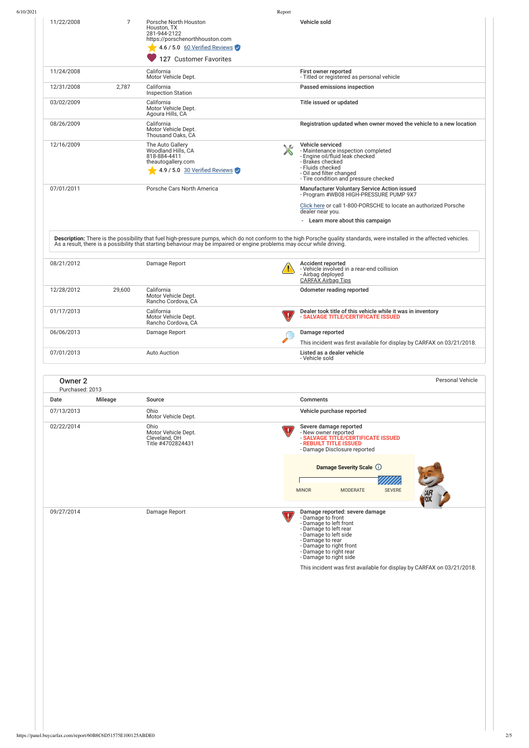|                                   |         |                                                                                                                                                    | Report             |                                                                                                                                                                                                        |
|-----------------------------------|---------|----------------------------------------------------------------------------------------------------------------------------------------------------|--------------------|--------------------------------------------------------------------------------------------------------------------------------------------------------------------------------------------------------|
| 11/22/2008                        | 7       | Porsche North Houston<br>Houston, TX<br>281-944-2122<br>https://porschenorthhouston.com<br>4.6 / 5.0 60 Verified Reviews<br>127 Customer Favorites |                    | Vehicle sold                                                                                                                                                                                           |
| 11/24/2008                        |         | California<br>Motor Vehicle Dept.                                                                                                                  |                    | First owner reported<br>- Titled or registered as personal vehicle                                                                                                                                     |
| 12/31/2008                        | 2,787   | California<br><b>Inspection Station</b>                                                                                                            |                    | Passed emissions inspection                                                                                                                                                                            |
| 03/02/2009                        |         | California<br>Motor Vehicle Dept.<br>Agoura Hills, CA                                                                                              |                    | Title issued or updated                                                                                                                                                                                |
| 08/26/2009                        |         | California<br>Motor Vehicle Dept.<br>Thousand Oaks, CA                                                                                             |                    | Registration updated when owner moved the vehicle to a new location                                                                                                                                    |
| 12/16/2009                        |         | The Auto Gallery<br>Woodland Hills, CA<br>818-884-4411<br>theautogallery.com<br>$\sqrt{4.9/5.0}$ 30 Verified Reviews                               | $\mathsf{\hat{X}}$ | Vehicle serviced<br>- Maintenance inspection completed<br>- Engine oil/fluid leak checked<br>- Brakes checked<br>- Fluids checked<br>- Oil and filter changed<br>- Tire condition and pressure checked |
| 07/01/2011                        |         | Porsche Cars North America                                                                                                                         |                    | Manufacturer Voluntary Service Action issued<br>- Program #WB08 HIGH-PRESSURE PUMP 9X7                                                                                                                 |
|                                   |         |                                                                                                                                                    |                    | Click here or call 1-800-PORSCHE to locate an authorized Porsche<br>dealer near you.<br>- Learn more about this campaign                                                                               |
| 08/21/2012                        |         | Damage Report                                                                                                                                      |                    | <b>Accident reported</b><br>- Vehicle involved in a rear-end collision<br>- Airbag deployed<br><b>CARFAX Airbag Tips</b>                                                                               |
| 12/28/2012                        | 29,600  | California<br>Motor Vehicle Dept.<br>Rancho Cordova, CA                                                                                            |                    | Odometer reading reported                                                                                                                                                                              |
| 01/17/2013                        |         | California<br>Motor Vehicle Dept.<br>Rancho Cordova, CA                                                                                            |                    | Dealer took title of this vehicle while it was in inventory<br>- SALVAGE TITLE/CERTIFICATE ISSUED                                                                                                      |
| 06/06/2013                        |         | Damage Report                                                                                                                                      |                    | Damage reported                                                                                                                                                                                        |
| 07/01/2013                        |         |                                                                                                                                                    |                    |                                                                                                                                                                                                        |
|                                   |         | Auto Auction                                                                                                                                       |                    | This incident was first available for display by CARFAX on 03/21/2018.<br>Listed as a dealer vehicle<br>- Vehicle sold                                                                                 |
| <b>Owner 2</b><br>Purchased: 2013 |         |                                                                                                                                                    |                    |                                                                                                                                                                                                        |
| Date                              | Mileage | Source                                                                                                                                             |                    | <b>Comments</b>                                                                                                                                                                                        |
| 07/13/2013                        |         | Ohio<br>Motor Vehicle Dept.                                                                                                                        |                    | Vehicle purchase reported                                                                                                                                                                              |
| 02/22/2014                        |         | Ohio<br>Motor Vehicle Dept.<br>Cleveland, OH<br>Title #4702824431                                                                                  |                    | Personal Vehicle<br>Severe damage reported<br>- New owner reported<br>- SALVAGE TITLE/CERTIFICATE ISSUED<br>- REBUILT TITLE ISSUED<br>- Damage Disclosure reported                                     |
|                                   |         |                                                                                                                                                    |                    | Damage Severity Scale (i)<br><b>SEVERE</b><br><b>MODERATE</b><br><b>MINOR</b>                                                                                                                          |

This incident was first available for display by CARFAX on  $03/21/2018$ .

<span id="page-1-0"></span>- Damage to right rear - Damage to right side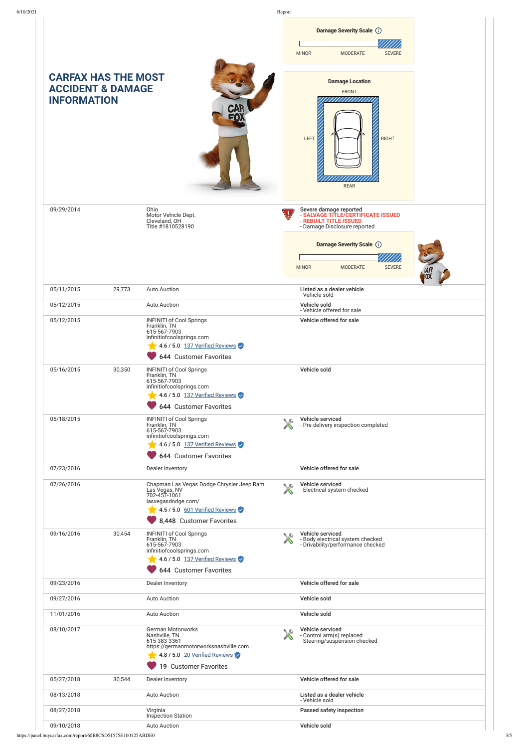

|            |        | 644 Customer Favorites                                                                                                                                |    |                                                                                |  |
|------------|--------|-------------------------------------------------------------------------------------------------------------------------------------------------------|----|--------------------------------------------------------------------------------|--|
| 09/23/2016 |        | Dealer Inventory                                                                                                                                      |    | Vehicle offered for sale                                                       |  |
| 09/27/2016 |        | <b>Auto Auction</b>                                                                                                                                   |    | Vehicle sold                                                                   |  |
| 11/01/2016 |        | <b>Auto Auction</b>                                                                                                                                   |    | Vehicle sold                                                                   |  |
| 08/10/2017 |        | German Motorworks<br>Nashville, TN<br>615-383-3361<br>https://germanmotorworksnashville.com<br>4.8 / 5.0 20 Verified Reviews<br>19 Customer Favorites | ◟◚ | Vehicle serviced<br>- Control arm(s) replaced<br>- Steering/suspension checked |  |
| 05/27/2018 | 30,544 | Dealer Inventory                                                                                                                                      |    | Vehicle offered for sale                                                       |  |
| 08/13/2018 |        | <b>Auto Auction</b>                                                                                                                                   |    | Listed as a dealer vehicle<br>- Vehicle sold                                   |  |
| 08/27/2018 |        | Virginia<br>Inspection Station                                                                                                                        |    | Passed safety inspection                                                       |  |
| 09/10/2018 |        | <b>Auto Auction</b>                                                                                                                                   |    | Vehicle sold                                                                   |  |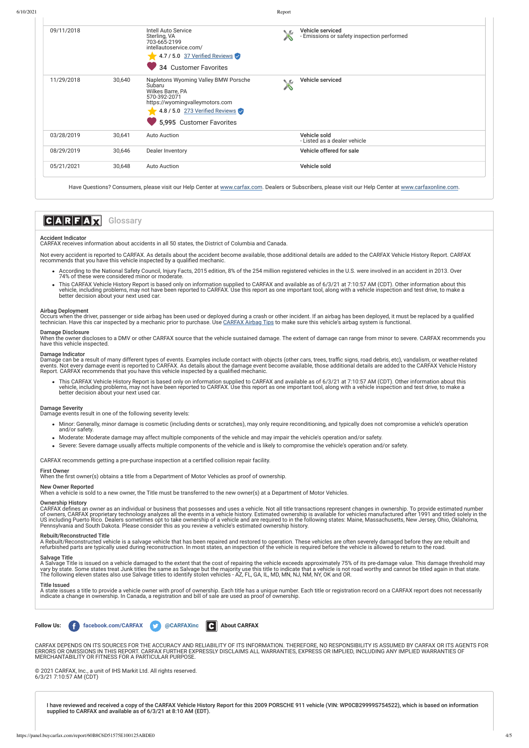Not every accident is reported to CARFAX. As details about the accident become available, those additional details are added to the CARFAX Vehicle History Report. CARFAX recommends that you have this vehicle inspected by a qualified mechanic.

### Accident Indicator

CARFAX receives information about accidents in all 50 states, the District of Columbia and Canada.

When the owner discloses to a DMV or other CARFAX source that the vehicle sustained damage. The extent of damage can range from minor to severe. CARFAX recommends you have this vehicle inspected.

- According to the National Safety Council, Injury Facts, 2015 edition, 8% of the 254 million registered vehicles in the U.S. were involved in an accident in 2013. Over 74% of these were considered minor or moderate.
- This CARFAX Vehicle History Report is based only on information supplied to CARFAX and available as of 6/3/21 at 7:10:57 AM (CDT). Other information about this vehicle, including problems, may not have been reported to CARFAX. Use this report as one important tool, along with a vehicle inspection and test drive, to make a better decision about your next used car.

### Airbag Deployment

Occurs when the driver, passenger or side airbag has been used or deployed during a crash or other incident. If an airbag has been deployed, it must be replaced by a qualified technician. Have this car inspected by a mechanic prior to purchase. Use <u>[CARFAX Airbag Tips](http://www.carfax.com/DP_Rpt_Links/Air_Bag_Tips.cfm)</u> to make sure this vehicle's airbag system is functional.

### Damage Disclosure

#### Damage Indicator

Damage can be a result of many different types of events. Examples include contact with objects (other cars, trees, traffic signs, road debris, etc), vandalism, or weather-related events. Not every damage event is reported to CARFAX. As details about the damage event become available, those additional details are added to the CARFAX Vehicle History Report. CARFAX recommends that you have this vehicle inspected by a qualified mechanic.

CARFAX defines an owner as an individual or business that possesses and uses a vehicle. Not all title transactions represent changes in ownership. To provide estimated number of owners, CARFAX proprietary technology analyzes all the events in a vehicle history. Estimated ownership is available for vehicles manufactured after 1991 and titled solely in the US including Puerto Rico. Dealers sometimes opt to take ownership of a vehicle and are required to in the following states: Maine, Massachusetts, New Jersey, Ohio, Oklahoma, Pennsylvania and South Dakota. Please consider this as you review a vehicle's estimated ownership history.

This CARFAX Vehicle History Report is based only on information supplied to CARFAX and available as of 6/3/21 at 7:10:57 AM (CDT). Other information about this vehicle, including problems, may not have been reported to CARFAX. Use this report as one important tool, along with a vehicle inspection and test drive, to make a better decision about your next used car.

### Damage Severity

Damage events result in one of the following severity levels:

| 09/11/2018 |        | Intell Auto Service<br>Sterling, VA<br>703-665-2199<br>intellautoservice.com/<br>4.7 / 5.0 37 Verified Reviews<br>34 Customer Favorites                                             | ◟◚ | Vehicle serviced<br>- Emissions or safety inspection performed |
|------------|--------|-------------------------------------------------------------------------------------------------------------------------------------------------------------------------------------|----|----------------------------------------------------------------|
| 11/29/2018 | 30,640 | Napletons Wyoming Valley BMW Porsche<br>Subaru<br>Wilkes Barre, PA<br>570-392-2071<br>https://wyomingvalleymotors.com<br>4.8 / 5.0 273 Verified Reviews<br>5,995 Customer Favorites | ◡◚ | Vehicle serviced                                               |
| 03/28/2019 | 30.641 | <b>Auto Auction</b>                                                                                                                                                                 |    | Vehicle sold<br>- Listed as a dealer vehicle                   |
| 08/29/2019 | 30,646 | Dealer Inventory                                                                                                                                                                    |    | Vehicle offered for sale                                       |
| 05/21/2021 | 30,648 | <b>Auto Auction</b>                                                                                                                                                                 |    | Vehicle sold                                                   |

Have Questions? Consumers, please visit our Help Center at [www.carfax.com](http://www.carfax.com/help). Dealers or Subscribers, please visit our Help Center at [www.carfaxonline.com](http://www.carfaxonline.com/).

### $|C|A|R|F|A|\vec{M}$ **Glossary**

- Minor: Generally, minor damage is cosmetic (including dents or scratches), may only require reconditioning, and typically does not compromise a vehicle's operation and/or safety.
- Moderate: Moderate damage may affect multiple components of the vehicle and may impair the vehicle's operation and/or safety.
- Severe: Severe damage usually affects multiple components of the vehicle and is likely to compromise the vehicle's operation and/or safety.

CARFAX recommends getting a pre-purchase inspection at a certified collision repair facility.

### First Owner

When the first owner(s) obtains a title from a Department of Motor Vehicles as proof of ownership.

## New Owner Reported

When a vehicle is sold to a new owner, the Title must be transferred to the new owner(s) at a Department of Motor Vehicles.

### Ownership History

### Rebuilt/Reconstructed Title

A Rebuilt/Reconstructed vehicle is a salvage vehicle that has been repaired and restored to operation. These vehicles are often severely damaged before they are rebuilt and refurbished parts are typically used during reconstruction. In most states, an inspection of the vehicle is required before the vehicle is allowed to return to the road.

### Salvage Title

age Title is issued on a vehicle damaged to the extent that the cost of repairing the vehicle exceeds approximately 75% of its pre-damage value. This damage threshold may

vary by state. Some states treat Junk titles the same as Salvage but the majority use this title to indicate that a vehicle is not road worthy and cannot be titled again in that state. The following eleven states also use Salvage titles to identify stolen vehicles - AZ, FL, GA, IL, MD, MN, NJ, NM, NY, OK and OR.

### Title Issued

A state issues a title to provide a vehicle owner with proof of ownership. Each title has a unique number. Each title or registration record on a CARFAX report does not necessarily indicate a change in ownership. In Canada, a registration and bill of sale are used as proof of ownership.



CARFAX DEPENDS ON ITS SOURCES FOR THE ACCURACY AND RELIABILITY OF ITS INFORMATION. THEREFORE, NO RESPONSIBILITY IS ASSUMED BY CARFAX OR ITS AGENTS FOR ERRORS OR OMISSIONS IN THIS REPORT. CARFAX FURTHER EXPRESSLY DISCLAIMS ALL WARRANTIES, EXPRESS OR IMPLIED, INCLUDING ANY IMPLIED WARRANTIES OF MERCHANTABILITY OR FITNESS FOR A PARTICULAR PURPOSE.

© 2021 CARFAX, Inc., a unit of IHS Markit Ltd. All rights reserved. 6/3/21 7:10:57 AM (CDT)

I have reviewed and received a copy of the CARFAX Vehicle History Report for this 2009 PORSCHE 911 vehicle (VIN: WP0CB29999S754522), which is based on information supplied to CARFAX and available as of 6/3/21 at 8:10 AM (EDT).